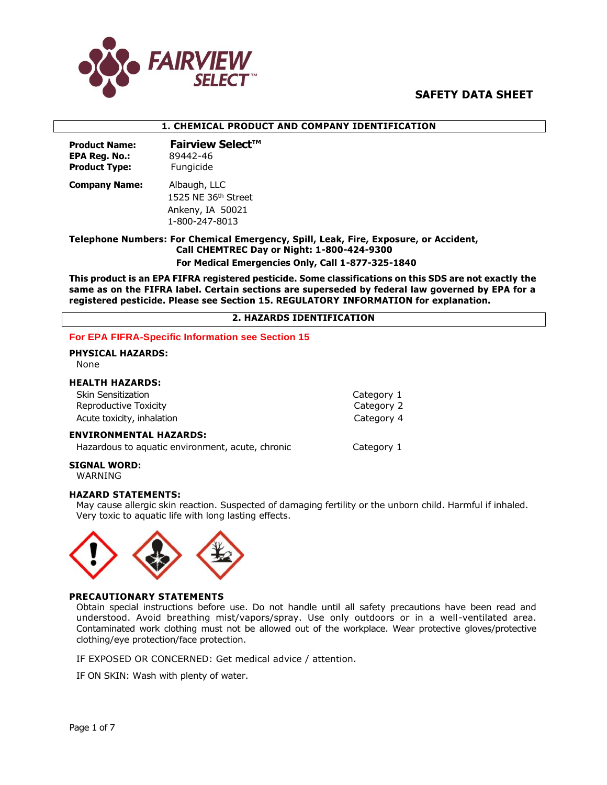

#### **1. CHEMICAL PRODUCT AND COMPANY IDENTIFICATION**

| <b>Product Name:</b> | <b>Fairview Select™</b> |
|----------------------|-------------------------|
| <b>EPA Reg. No.:</b> | 89442-46                |
| <b>Product Type:</b> | Fungicide               |
|                      |                         |

**Company Name:** Albaugh, LLC 1525 NE 36<sup>th</sup> Street Ankeny, IA 50021 1-800-247-8013

**Telephone Numbers: For Chemical Emergency, Spill, Leak, Fire, Exposure, or Accident, Call CHEMTREC Day or Night: 1-800-424-9300 For Medical Emergencies Only, Call 1-877-325-1840**

**This product is an EPA FIFRA registered pesticide. Some classifications on this SDS are not exactly the same as on the FIFRA label. Certain sections are superseded by federal law governed by EPA for a registered pesticide. Please see Section 15. REGULATORY INFORMATION for explanation.**

#### **2. HAZARDS IDENTIFICATION**

#### **For EPA FIFRA-Specific Information see Section 15**

**PHYSICAL HAZARDS:**  None

#### **HEALTH HAZARDS:**

| <b>Skin Sensitization</b>  | Category 1 |
|----------------------------|------------|
| Reproductive Toxicity      | Category 2 |
| Acute toxicity, inhalation | Category 4 |

#### **ENVIRONMENTAL HAZARDS:**

Hazardous to aquatic environment, acute, chronic Category 1

**SIGNAL WORD:** 

WARNING

#### **HAZARD STATEMENTS:**

May cause allergic skin reaction. Suspected of damaging fertility or the unborn child. Harmful if inhaled. Very toxic to aquatic life with long lasting effects.



#### **PRECAUTIONARY STATEMENTS**

Obtain special instructions before use. Do not handle until all safety precautions have been read and understood. Avoid breathing mist/vapors/spray. Use only outdoors or in a well-ventilated area. Contaminated work clothing must not be allowed out of the workplace. Wear protective gloves/protective clothing/eye protection/face protection.

IF EXPOSED OR CONCERNED: Get medical advice / attention.

IF ON SKIN: Wash with plenty of water.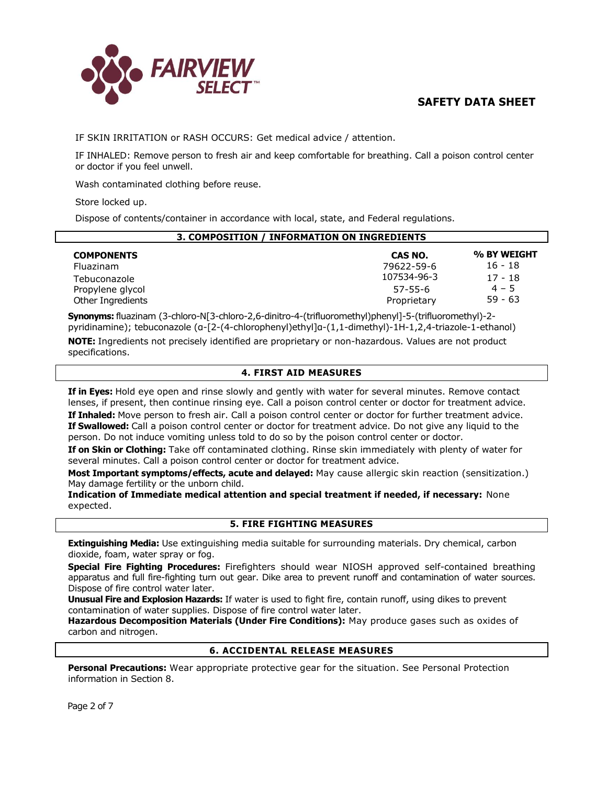

IF SKIN IRRITATION or RASH OCCURS: Get medical advice / attention.

IF INHALED: Remove person to fresh air and keep comfortable for breathing. Call a poison control center or doctor if you feel unwell.

Wash contaminated clothing before reuse.

Store locked up.

Dispose of contents/container in accordance with local, state, and Federal regulations.

| 3. COMPOSITION / INFORMATION ON INGREDIENTS |                           |                      |  |
|---------------------------------------------|---------------------------|----------------------|--|
| <b>COMPONENTS</b>                           | CAS NO.                   | % BY WEIGHT          |  |
| Fluazinam                                   | 79622-59-6<br>107534-96-3 | 16 - 18<br>$17 - 18$ |  |
| Tebuconazole<br>Propylene glycol            | $57 - 55 - 6$             | $4 - 5$              |  |
| Other Ingredients                           | Proprietary               | $59 - 63$            |  |

**Synonyms:** fluazinam (3-chloro-N[3-chloro-2,6-dinitro-4-(trifluoromethyl)phenyl]-5-(trifluoromethyl)-2 pyridinamine); tebuconazole (α-[2-(4-chlorophenyl)ethyl]α-(1,1-dimethyl)-1H-1,2,4-triazole-1-ethanol)

**NOTE:** Ingredients not precisely identified are proprietary or non-hazardous. Values are not product specifications.

## **4. FIRST AID MEASURES**

**If in Eyes:** Hold eye open and rinse slowly and gently with water for several minutes. Remove contact lenses, if present, then continue rinsing eye. Call a poison control center or doctor for treatment advice. **If Inhaled:** Move person to fresh air. Call a poison control center or doctor for further treatment advice. **If Swallowed:** Call a poison control center or doctor for treatment advice. Do not give any liquid to the person. Do not induce vomiting unless told to do so by the poison control center or doctor.

**If on Skin or Clothing:** Take off contaminated clothing. Rinse skin immediately with plenty of water for several minutes. Call a poison control center or doctor for treatment advice.

**Most Important symptoms/effects, acute and delayed:** May cause allergic skin reaction (sensitization.) May damage fertility or the unborn child.

**Indication of Immediate medical attention and special treatment if needed, if necessary:** None expected.

# **5. FIRE FIGHTING MEASURES**

**Extinguishing Media:** Use extinguishing media suitable for surrounding materials. Dry chemical, carbon dioxide, foam, water spray or fog.

**Special Fire Fighting Procedures:** Firefighters should wear NIOSH approved self-contained breathing apparatus and full fire-fighting turn out gear. Dike area to prevent runoff and contamination of water sources. Dispose of fire control water later.

**Unusual Fire and Explosion Hazards:** If water is used to fight fire, contain runoff, using dikes to prevent contamination of water supplies. Dispose of fire control water later.

**Hazardous Decomposition Materials (Under Fire Conditions):** May produce gases such as oxides of carbon and nitrogen.

# **6. ACCIDENTAL RELEASE MEASURES**

**Personal Precautions:** Wear appropriate protective gear for the situation. See Personal Protection information in Section 8.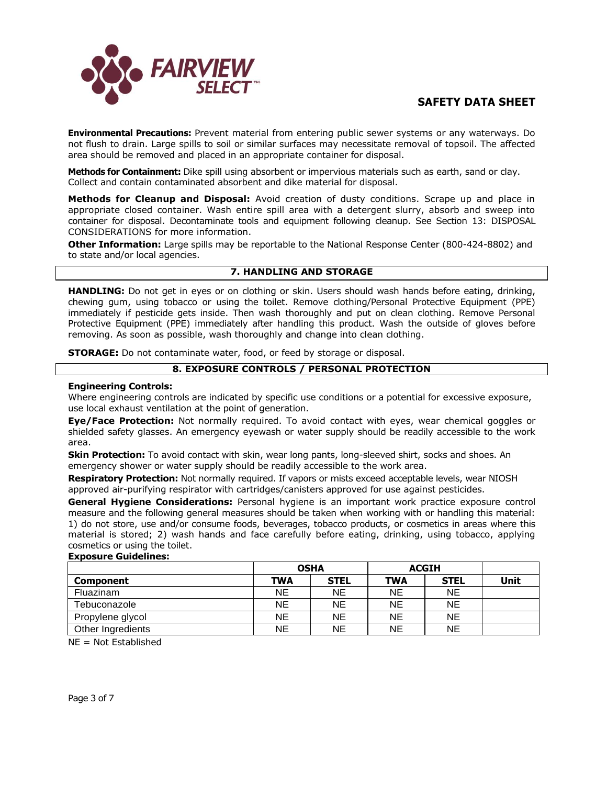

**Environmental Precautions:** Prevent material from entering public sewer systems or any waterways. Do not flush to drain. Large spills to soil or similar surfaces may necessitate removal of topsoil. The affected area should be removed and placed in an appropriate container for disposal.

**Methods for Containment:** Dike spill using absorbent or impervious materials such as earth, sand or clay. Collect and contain contaminated absorbent and dike material for disposal.

**Methods for Cleanup and Disposal:** Avoid creation of dusty conditions. Scrape up and place in appropriate closed container. Wash entire spill area with a detergent slurry, absorb and sweep into container for disposal. Decontaminate tools and equipment following cleanup. See Section 13: DISPOSAL CONSIDERATIONS for more information.

**Other Information:** Large spills may be reportable to the National Response Center (800-424-8802) and to state and/or local agencies.

#### **7. HANDLING AND STORAGE**

**HANDLING:** Do not get in eyes or on clothing or skin. Users should wash hands before eating, drinking, chewing gum, using tobacco or using the toilet. Remove clothing/Personal Protective Equipment (PPE) immediately if pesticide gets inside. Then wash thoroughly and put on clean clothing. Remove Personal Protective Equipment (PPE) immediately after handling this product. Wash the outside of gloves before removing. As soon as possible, wash thoroughly and change into clean clothing.

**STORAGE:** Do not contaminate water, food, or feed by storage or disposal.

## **8. EXPOSURE CONTROLS / PERSONAL PROTECTION**

#### **Engineering Controls:**

Where engineering controls are indicated by specific use conditions or a potential for excessive exposure, use local exhaust ventilation at the point of generation.

**Eye/Face Protection:** Not normally required. To avoid contact with eyes, wear chemical goggles or shielded safety glasses. An emergency eyewash or water supply should be readily accessible to the work area.

**Skin Protection:** To avoid contact with skin, wear long pants, long-sleeved shirt, socks and shoes. An emergency shower or water supply should be readily accessible to the work area.

**Respiratory Protection:** Not normally required. If vapors or mists exceed acceptable levels, wear NIOSH approved air-purifying respirator with cartridges/canisters approved for use against pesticides.

**General Hygiene Considerations:** Personal hygiene is an important work practice exposure control measure and the following general measures should be taken when working with or handling this material: 1) do not store, use and/or consume foods, beverages, tobacco products, or cosmetics in areas where this material is stored; 2) wash hands and face carefully before eating, drinking, using tobacco, applying cosmetics or using the toilet.

#### **Exposure Guidelines:**

|                   | <b>OSHA</b> |             | <b>ACGIH</b> |             |      |
|-------------------|-------------|-------------|--------------|-------------|------|
| <b>Component</b>  | <b>TWA</b>  | <b>STEL</b> | <b>TWA</b>   | <b>STEL</b> | Unit |
| Fluazinam         | NE.         | <b>NE</b>   | <b>NE</b>    | <b>NE</b>   |      |
| Tebuconazole      | NE          | NE          | NΕ           | NE          |      |
| Propylene glycol  | <b>NE</b>   | NE          | NΕ           | <b>NE</b>   |      |
| Other Ingredients | NΕ          | NE          | NΕ           | <b>NE</b>   |      |

NE = Not Established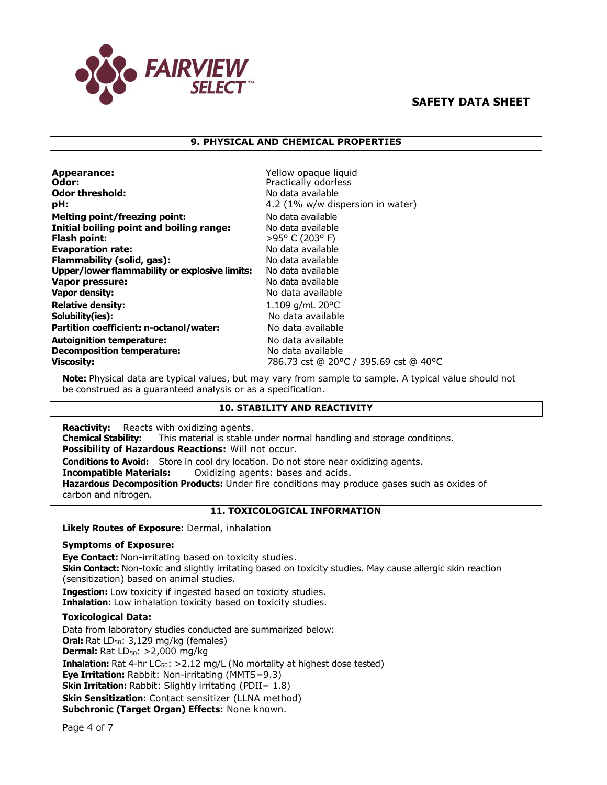

# **9. PHYSICAL AND CHEMICAL PROPERTIES**

| Appearance:<br>Odor:<br><b>Odor threshold:</b><br>pH: | Yellow opaque liquid<br>Practically odorless<br>No data available<br>4.2 (1% w/w dispersion in water) |
|-------------------------------------------------------|-------------------------------------------------------------------------------------------------------|
| <b>Melting point/freezing point:</b>                  | No data available                                                                                     |
| Initial boiling point and boiling range:              | No data available                                                                                     |
| Flash point:                                          | $>95^{\circ}$ C (203° F)                                                                              |
| <b>Evaporation rate:</b>                              | No data available                                                                                     |
| Flammability (solid, gas):                            | No data available                                                                                     |
| Upper/lower flammability or explosive limits:         | No data available                                                                                     |
| Vapor pressure:                                       | No data available                                                                                     |
| <b>Vapor density:</b>                                 | No data available                                                                                     |
| <b>Relative density:</b>                              | 1.109 $q/mL$ 20 $°C$                                                                                  |
| Solubility(ies):                                      | No data available                                                                                     |
| Partition coefficient: n-octanol/water:               | No data available                                                                                     |
| <b>Autoignition temperature:</b>                      | No data available                                                                                     |
| <b>Decomposition temperature:</b>                     | No data available                                                                                     |
| <b>Viscosity:</b>                                     | 786.73 cst @ 20°C / 395.69 cst @ 40°C                                                                 |

**Note:** Physical data are typical values, but may vary from sample to sample. A typical value should not be construed as a guaranteed analysis or as a specification.

## **10. STABILITY AND REACTIVITY**

**Reactivity:** Reacts with oxidizing agents.

**Chemical Stability:** This material is stable under normal handling and storage conditions.

**Possibility of Hazardous Reactions:** Will not occur.

**Conditions to Avoid:** Store in cool dry location. Do not store near oxidizing agents.

**Incompatible Materials:** Oxidizing agents: bases and acids.

**Hazardous Decomposition Products:** Under fire conditions may produce gases such as oxides of carbon and nitrogen.

## **11. TOXICOLOGICAL INFORMATION**

**Likely Routes of Exposure:** Dermal, inhalation

## **Symptoms of Exposure:**

**Eye Contact:** Non-irritating based on toxicity studies. **Skin Contact:** Non-toxic and slightly irritating based on toxicity studies. May cause allergic skin reaction (sensitization) based on animal studies. **Ingestion:** Low toxicity if ingested based on toxicity studies.

**Inhalation:** Low inhalation toxicity based on toxicity studies.

#### **Toxicological Data:**

Data from laboratory studies conducted are summarized below: **Oral:** Rat LD<sub>50</sub>: 3,129 mg/kg (females) **Dermal:** Rat LD<sub>50</sub>: >2,000 mg/kg **Inhalation:** Rat 4-hr LC<sub>50</sub>: > 2.12 mg/L (No mortality at highest dose tested) **Eye Irritation:** Rabbit: Non-irritating (MMTS=9.3) **Skin Irritation:** Rabbit: Slightly irritating (PDII= 1.8) **Skin Sensitization:** Contact sensitizer (LLNA method) **Subchronic (Target Organ) Effects:** None known.

Page 4 of 7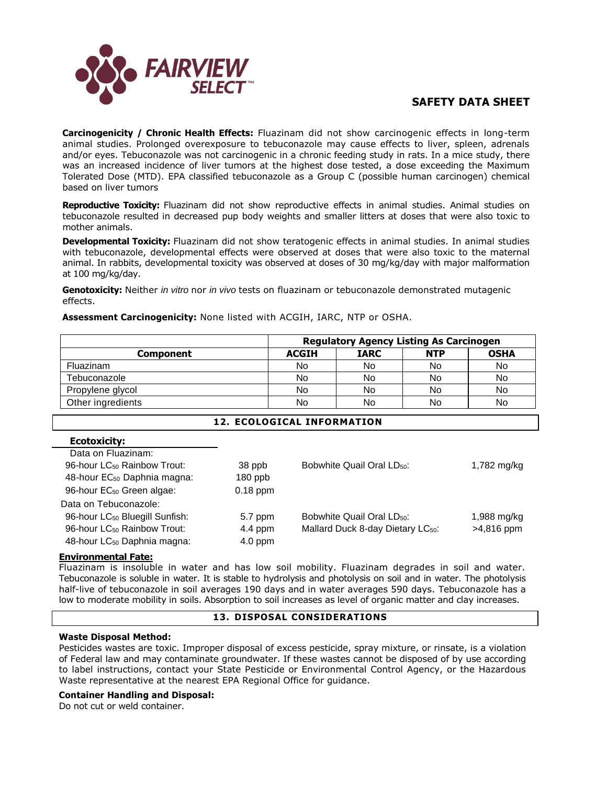

**Carcinogenicity / Chronic Health Effects:** Fluazinam did not show carcinogenic effects in long-term animal studies. Prolonged overexposure to tebuconazole may cause effects to liver, spleen, adrenals and/or eyes. Tebuconazole was not carcinogenic in a chronic feeding study in rats. In a mice study, there was an increased incidence of liver tumors at the highest dose tested, a dose exceeding the Maximum Tolerated Dose (MTD). EPA classified tebuconazole as a Group C (possible human carcinogen) chemical based on liver tumors

**Reproductive Toxicity:** Fluazinam did not show reproductive effects in animal studies. Animal studies on tebuconazole resulted in decreased pup body weights and smaller litters at doses that were also toxic to mother animals.

**Developmental Toxicity:** Fluazinam did not show teratogenic effects in animal studies. In animal studies with tebuconazole, developmental effects were observed at doses that were also toxic to the maternal animal. In rabbits, developmental toxicity was observed at doses of 30 mg/kg/day with major malformation at 100 mg/kg/day.

**Genotoxicity:** Neither *in vitro* nor *in vivo* tests on fluazinam or tebuconazole demonstrated mutagenic effects.

**Assessment Carcinogenicity:** None listed with ACGIH, IARC, NTP or OSHA.

|                   | <b>Regulatory Agency Listing As Carcinogen</b> |             |            |             |
|-------------------|------------------------------------------------|-------------|------------|-------------|
| <b>Component</b>  | <b>ACGIH</b>                                   | <b>IARC</b> | <b>NTP</b> | <b>OSHA</b> |
| Fluazinam         | No                                             | No          | No         | No          |
| Tebuconazole      | No                                             | No          | No         | No          |
| Propylene glycol  | No                                             | No          | No         | No          |
| Other ingredients | No                                             | No          | No         | No          |

# **12. ECOLOGICAL INFORMATION**

| EUVLVAIULTI                                |            |                                               |               |
|--------------------------------------------|------------|-----------------------------------------------|---------------|
| Data on Fluazinam:                         |            |                                               |               |
| 96-hour LC <sub>50</sub> Rainbow Trout:    | 38 ppb     | Bobwhite Quail Oral LD <sub>50</sub> :        | 1,782 mg/kg   |
| 48-hour EC <sub>50</sub> Daphnia magna:    | $180$ ppb  |                                               |               |
| 96-hour EC <sub>50</sub> Green algae:      | $0.18$ ppm |                                               |               |
| Data on Tebuconazole:                      |            |                                               |               |
| 96-hour LC <sub>50</sub> Bluegill Sunfish: | 5.7 ppm    | Bobwhite Quail Oral LD <sub>50</sub> :        | $1,988$ mg/kg |
| 96-hour LC <sub>50</sub> Rainbow Trout:    | $4.4$ ppm  | Mallard Duck 8-day Dietary LC <sub>50</sub> : | $>4,816$ ppm  |
| 48-hour LC <sub>50</sub> Daphnia magna:    | $4.0$ ppm  |                                               |               |
|                                            |            |                                               |               |

#### **Environmental Fate:**

**Ecotoxicity:**

Fluazinam is insoluble in water and has low soil mobility. Fluazinam degrades in soil and water. Tebuconazole is soluble in water. It is stable to hydrolysis and photolysis on soil and in water. The photolysis half-live of tebuconazole in soil averages 190 days and in water averages 590 days. Tebuconazole has a low to moderate mobility in soils. Absorption to soil increases as level of organic matter and clay increases.

## **13. DISPOSAL CONSIDERATIONS**

#### **Waste Disposal Method:**

Pesticides wastes are toxic. Improper disposal of excess pesticide, spray mixture, or rinsate, is a violation of Federal law and may contaminate groundwater. If these wastes cannot be disposed of by use according to label instructions, contact your State Pesticide or Environmental Control Agency, or the Hazardous Waste representative at the nearest EPA Regional Office for guidance.

#### **Container Handling and Disposal:**

Do not cut or weld container.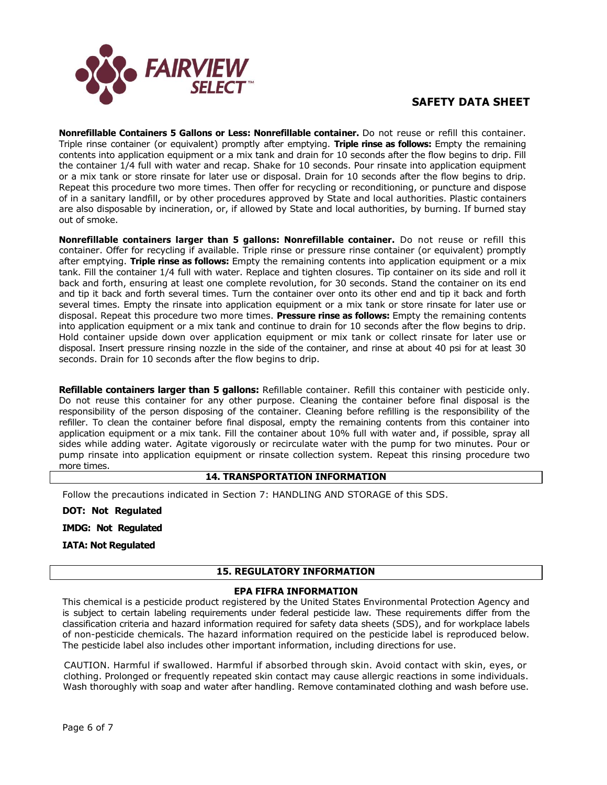

**Nonrefillable Containers 5 Gallons or Less: Nonrefillable container.** Do not reuse or refill this container. Triple rinse container (or equivalent) promptly after emptying. **Triple rinse as follows:** Empty the remaining contents into application equipment or a mix tank and drain for 10 seconds after the flow begins to drip. Fill the container 1/4 full with water and recap. Shake for 10 seconds. Pour rinsate into application equipment or a mix tank or store rinsate for later use or disposal. Drain for 10 seconds after the flow begins to drip. Repeat this procedure two more times. Then offer for recycling or reconditioning, or puncture and dispose of in a sanitary landfill, or by other procedures approved by State and local authorities. Plastic containers are also disposable by incineration, or, if allowed by State and local authorities, by burning. If burned stay out of smoke.

**Nonrefillable containers larger than 5 gallons: Nonrefillable container.** Do not reuse or refill this container. Offer for recycling if available. Triple rinse or pressure rinse container (or equivalent) promptly after emptying. **Triple rinse as follows:** Empty the remaining contents into application equipment or a mix tank. Fill the container 1/4 full with water. Replace and tighten closures. Tip container on its side and roll it back and forth, ensuring at least one complete revolution, for 30 seconds. Stand the container on its end and tip it back and forth several times. Turn the container over onto its other end and tip it back and forth several times. Empty the rinsate into application equipment or a mix tank or store rinsate for later use or disposal. Repeat this procedure two more times. **Pressure rinse as follows:** Empty the remaining contents into application equipment or a mix tank and continue to drain for 10 seconds after the flow begins to drip. Hold container upside down over application equipment or mix tank or collect rinsate for later use or disposal. Insert pressure rinsing nozzle in the side of the container, and rinse at about 40 psi for at least 30 seconds. Drain for 10 seconds after the flow begins to drip.

**Refillable containers larger than 5 gallons:** Refillable container. Refill this container with pesticide only. Do not reuse this container for any other purpose. Cleaning the container before final disposal is the responsibility of the person disposing of the container. Cleaning before refilling is the responsibility of the refiller. To clean the container before final disposal, empty the remaining contents from this container into application equipment or a mix tank. Fill the container about 10% full with water and, if possible, spray all sides while adding water. Agitate vigorously or recirculate water with the pump for two minutes. Pour or pump rinsate into application equipment or rinsate collection system. Repeat this rinsing procedure two more times.

# **14. TRANSPORTATION INFORMATION**

Follow the precautions indicated in Section 7: HANDLING AND STORAGE of this SDS.

**DOT: Not Regulated** 

**IMDG: Not Regulated** 

**IATA: Not Regulated**

## **15. REGULATORY INFORMATION**

## **EPA FIFRA INFORMATION**

This chemical is a pesticide product registered by the United States Environmental Protection Agency and is subject to certain labeling requirements under federal pesticide law. These requirements differ from the classification criteria and hazard information required for safety data sheets (SDS), and for workplace labels of non-pesticide chemicals. The hazard information required on the pesticide label is reproduced below. The pesticide label also includes other important information, including directions for use.

CAUTION. Harmful if swallowed. Harmful if absorbed through skin. Avoid contact with skin, eyes, or clothing. Prolonged or frequently repeated skin contact may cause allergic reactions in some individuals. Wash thoroughly with soap and water after handling. Remove contaminated clothing and wash before use.